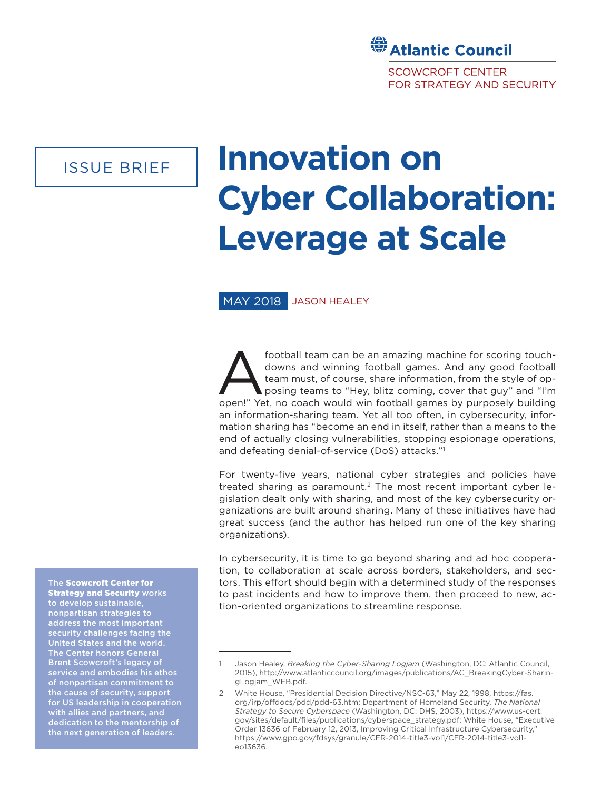# **Stantic Council SCOWCROFT CENTER FOR STRATEGY AND SECURITY**

# ISSUE BRIEF

# **Innovation on Cyber Collaboration: Leverage at Scale**

## MAY 2018 JASON HEALEY

football team can be an amazing machine for scoring touch-<br>downs and winning football games. And any good football<br>team must, of course, share information, from the style of op-<br>posing teams to "Hey, blitz coming, cover th downs and winning football games. And any good football team must, of course, share information, from the style of opposing teams to "Hey, blitz coming, cover that guy" and "I'm open!" Yet, no coach would win football games by purposely building an information-sharing team. Yet all too often, in cybersecurity, information sharing has "become an end in itself, rather than a means to the end of actually closing vulnerabilities, stopping espionage operations, and defeating denial-of-service (DoS) attacks."1

For twenty-five years, national cyber strategies and policies have treated sharing as paramount.2 The most recent important cyber legislation dealt only with sharing, and most of the key cybersecurity organizations are built around sharing. Many of these initiatives have had great success (and the author has helped run one of the key sharing organizations).

In cybersecurity, it is time to go beyond sharing and ad hoc cooperation, to collaboration at scale across borders, stakeholders, and sectors. This effort should begin with a determined study of the responses to past incidents and how to improve them, then proceed to new, action-oriented organizations to streamline response.

The Scowcroft Center for **Strategy and Security works** to develop sustainable, nonpartisan strategies to address the most important security challenges facing the United States and the world. The Center honors General Brent Scowcroft's legacy of service and embodies his ethos of nonpartisan commitment to the cause of security, support for US leadership in cooperation with allies and partners, and dedication to the mentorship of the next generation of leaders.

<sup>1</sup> Jason Healey, *Breaking the Cyber-Sharing Logjam* (Washington, DC: Atlantic Council, 2015), http://www.atlanticcouncil.org/images/publications/AC\_BreakingCyber-SharingLogjam\_WEB.pdf.

<sup>2</sup> White House, "Presidential Decision Directive/NSC-63," May 22, 1998, https://fas. org/irp/offdocs/pdd/pdd-63.htm; Department of Homeland Security, *The National Strategy to Secure Cyberspace* (Washington, DC: DHS, 2003), https://www.us-cert. gov/sites/default/files/publications/cyberspace\_strategy.pdf; White House, "Executive Order 13636 of February 12, 2013, Improving Critical Infrastructure Cybersecurity," https://www.gpo.gov/fdsys/granule/CFR-2014-title3-vol1/CFR-2014-title3-vol1 eo13636.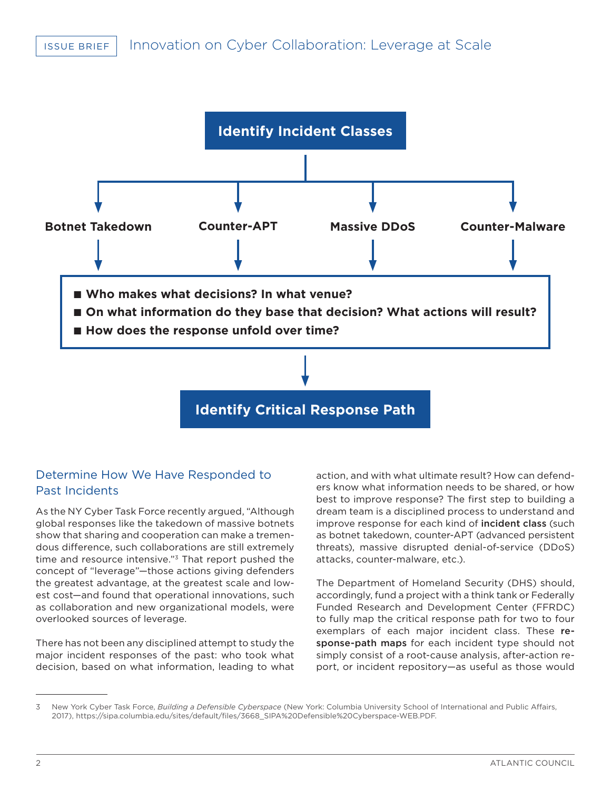

**Identify Critical Response Path**

# Determine How We Have Responded to Past Incidents

As the NY Cyber Task Force recently argued, "Although global responses like the takedown of massive botnets show that sharing and cooperation can make a tremendous difference, such collaborations are still extremely time and resource intensive."<sup>3</sup> That report pushed the concept of "leverage"—those actions giving defenders the greatest advantage, at the greatest scale and lowest cost—and found that operational innovations, such as collaboration and new organizational models, were overlooked sources of leverage.

There has not been any disciplined attempt to study the major incident responses of the past: who took what decision, based on what information, leading to what

action, and with what ultimate result? How can defenders know what information needs to be shared, or how best to improve response? The first step to building a dream team is a disciplined process to understand and improve response for each kind of incident class (such as botnet takedown, counter-APT (advanced persistent threats), massive disrupted denial-of-service (DDoS) attacks, counter-malware, etc.).

The Department of Homeland Security (DHS) should, accordingly, fund a project with a think tank or Federally Funded Research and Development Center (FFRDC) to fully map the critical response path for two to four exemplars of each major incident class. These response-path maps for each incident type should not simply consist of a root-cause analysis, after-action report, or incident repository—as useful as those would

<sup>3</sup> New York Cyber Task Force, *Building a Defensible Cyberspace* (New York: Columbia University School of International and Public Affairs, 2017), https://sipa.columbia.edu/sites/default/files/3668\_SIPA%20Defensible%20Cyberspace-WEB.PDF.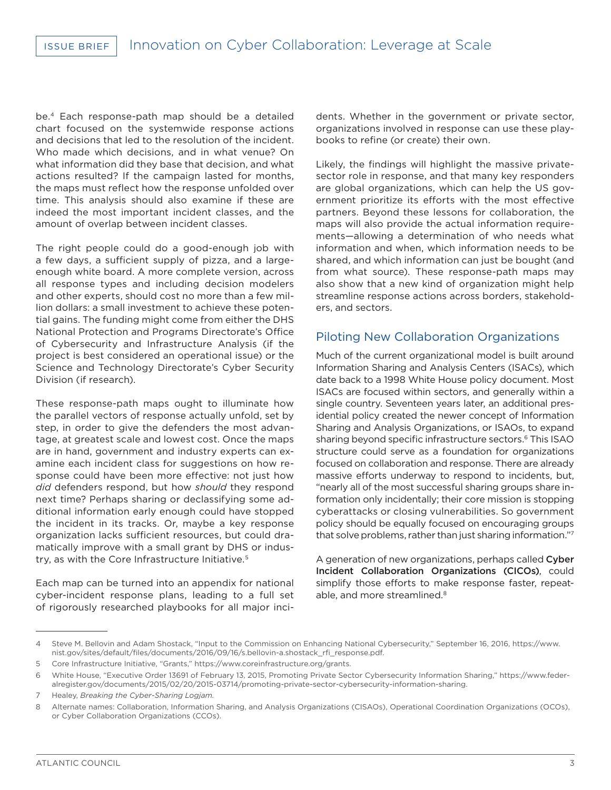be.4 Each response-path map should be a detailed chart focused on the systemwide response actions and decisions that led to the resolution of the incident. Who made which decisions, and in what venue? On what information did they base that decision, and what actions resulted? If the campaign lasted for months, the maps must reflect how the response unfolded over time. This analysis should also examine if these are indeed the most important incident classes, and the amount of overlap between incident classes.

The right people could do a good-enough job with a few days, a sufficient supply of pizza, and a largeenough white board. A more complete version, across all response types and including decision modelers and other experts, should cost no more than a few million dollars: a small investment to achieve these potential gains. The funding might come from either the DHS National Protection and Programs Directorate's Office of Cybersecurity and Infrastructure Analysis (if the project is best considered an operational issue) or the Science and Technology Directorate's Cyber Security Division (if research).

These response-path maps ought to illuminate how the parallel vectors of response actually unfold, set by step, in order to give the defenders the most advantage, at greatest scale and lowest cost. Once the maps are in hand, government and industry experts can examine each incident class for suggestions on how response could have been more effective: not just how *did* defenders respond, but how *should* they respond next time? Perhaps sharing or declassifying some additional information early enough could have stopped the incident in its tracks. Or, maybe a key response organization lacks sufficient resources, but could dramatically improve with a small grant by DHS or industry, as with the Core Infrastructure Initiative.<sup>5</sup>

Each map can be turned into an appendix for national cyber-incident response plans, leading to a full set of rigorously researched playbooks for all major incidents. Whether in the government or private sector, organizations involved in response can use these playbooks to refine (or create) their own.

Likely, the findings will highlight the massive privatesector role in response, and that many key responders are global organizations, which can help the US government prioritize its efforts with the most effective partners. Beyond these lessons for collaboration, the maps will also provide the actual information requirements—allowing a determination of who needs what information and when, which information needs to be shared, and which information can just be bought (and from what source). These response-path maps may also show that a new kind of organization might help streamline response actions across borders, stakeholders, and sectors.

### Piloting New Collaboration Organizations

Much of the current organizational model is built around Information Sharing and Analysis Centers (ISACs), which date back to a 1998 White House policy document. Most ISACs are focused within sectors, and generally within a single country. Seventeen years later, an additional presidential policy created the newer concept of Information Sharing and Analysis Organizations, or ISAOs, to expand sharing beyond specific infrastructure sectors.6 This ISAO structure could serve as a foundation for organizations focused on collaboration and response. There are already massive efforts underway to respond to incidents, but, "nearly all of the most successful sharing groups share information only incidentally; their core mission is stopping cyberattacks or closing vulnerabilities. So government policy should be equally focused on encouraging groups that solve problems, rather than just sharing information."7

A generation of new organizations, perhaps called Cyber Incident Collaboration Organizations (CICOs), could simplify those efforts to make response faster, repeatable, and more streamlined.<sup>8</sup>

<sup>4</sup> Steve M. Bellovin and Adam Shostack, "Input to the Commission on Enhancing National Cybersecurity," September 16, 2016, https://www. nist.gov/sites/default/files/documents/2016/09/16/s.bellovin-a.shostack\_rfi\_response.pdf.

<sup>5</sup> Core Infrastructure Initiative, "Grants," https://www.coreinfrastructure.org/grants.

<sup>6</sup> White House, "Executive Order 13691 of February 13, 2015, Promoting Private Sector Cybersecurity Information Sharing," https://www.federalregister.gov/documents/2015/02/20/2015-03714/promoting-private-sector-cybersecurity-information-sharing.

<sup>7</sup> Healey, *Breaking the Cyber-Sharing Logjam.*

<sup>8</sup> Alternate names: Collaboration, Information Sharing, and Analysis Organizations (CISAOs), Operational Coordination Organizations (OCOs), or Cyber Collaboration Organizations (CCOs).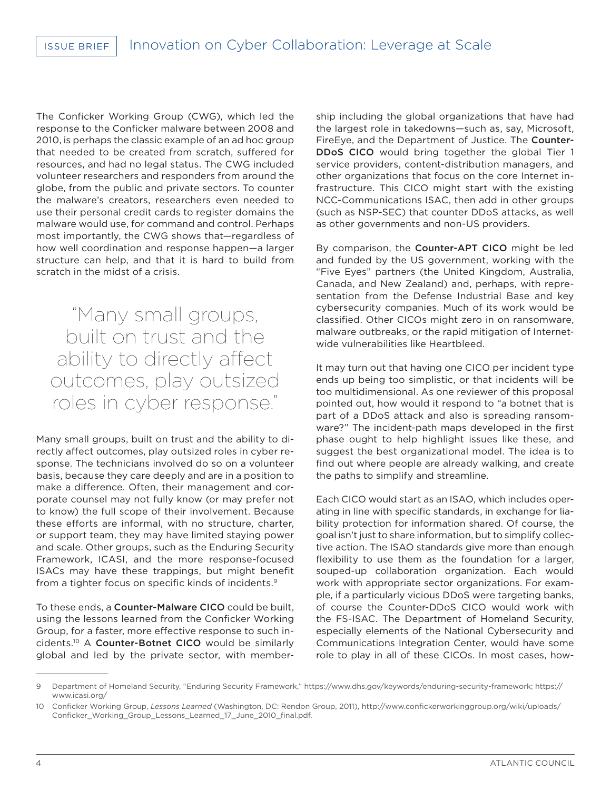The Conficker Working Group (CWG), which led the response to the Conficker malware between 2008 and 2010, is perhaps the classic example of an ad hoc group that needed to be created from scratch, suffered for resources, and had no legal status. The CWG included volunteer researchers and responders from around the globe, from the public and private sectors. To counter the malware's creators, researchers even needed to use their personal credit cards to register domains the malware would use, for command and control. Perhaps most importantly, the CWG shows that—regardless of how well coordination and response happen—a larger structure can help, and that it is hard to build from scratch in the midst of a crisis.

"Many small groups, built on trust and the ability to directly affect outcomes, play outsized roles in cyber response."

Many small groups, built on trust and the ability to directly affect outcomes, play outsized roles in cyber response. The technicians involved do so on a volunteer basis, because they care deeply and are in a position to make a difference. Often, their management and corporate counsel may not fully know (or may prefer not to know) the full scope of their involvement. Because these efforts are informal, with no structure, charter, or support team, they may have limited staying power and scale. Other groups, such as the Enduring Security Framework, ICASI, and the more response-focused ISACs may have these trappings, but might benefit from a tighter focus on specific kinds of incidents.9

To these ends, a Counter-Malware CICO could be built, using the lessons learned from the Conficker Working Group, for a faster, more effective response to such incidents.10 A Counter-Botnet CICO would be similarly global and led by the private sector, with membership including the global organizations that have had the largest role in takedowns—such as, say, Microsoft, FireEye, and the Department of Justice. The Counter-DDoS CICO would bring together the global Tier 1 service providers, content-distribution managers, and other organizations that focus on the core Internet infrastructure. This CICO might start with the existing NCC-Communications ISAC, then add in other groups (such as NSP-SEC) that counter DDoS attacks, as well as other governments and non-US providers.

By comparison, the Counter-APT CICO might be led and funded by the US government, working with the "Five Eyes" partners (the United Kingdom, Australia, Canada, and New Zealand) and, perhaps, with representation from the Defense Industrial Base and key cybersecurity companies. Much of its work would be classified. Other CICOs might zero in on ransomware, malware outbreaks, or the rapid mitigation of Internetwide vulnerabilities like Heartbleed.

It may turn out that having one CICO per incident type ends up being too simplistic, or that incidents will be too multidimensional. As one reviewer of this proposal pointed out, how would it respond to "a botnet that is part of a DDoS attack and also is spreading ransomware?" The incident-path maps developed in the first phase ought to help highlight issues like these, and suggest the best organizational model. The idea is to find out where people are already walking, and create the paths to simplify and streamline.

Each CICO would start as an ISAO, which includes operating in line with specific standards, in exchange for liability protection for information shared. Of course, the goal isn't just to share information, but to simplify collective action. The ISAO standards give more than enough flexibility to use them as the foundation for a larger, souped-up collaboration organization. Each would work with appropriate sector organizations. For example, if a particularly vicious DDoS were targeting banks, of course the Counter-DDoS CICO would work with the FS-ISAC. The Department of Homeland Security, especially elements of the National Cybersecurity and Communications Integration Center, would have some role to play in all of these CICOs. In most cases, how-

<sup>9</sup> Department of Homeland Security, "Enduring Security Framework," https://www.dhs.gov/keywords/enduring-security-framework; https:// www.icasi.org/

<sup>10</sup> Conficker Working Group, *Lessons Learned* (Washington, DC: Rendon Group, 2011), http://www.confickerworkinggroup.org/wiki/uploads/ Conficker\_Working\_Group\_Lessons\_Learned\_17\_June\_2010\_final.pdf.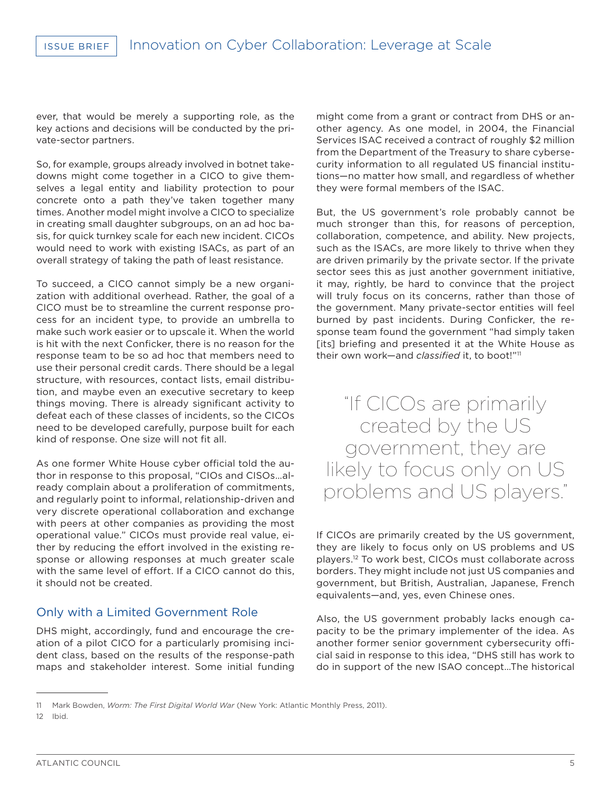ever, that would be merely a supporting role, as the key actions and decisions will be conducted by the private-sector partners.

So, for example, groups already involved in botnet takedowns might come together in a CICO to give themselves a legal entity and liability protection to pour concrete onto a path they've taken together many times. Another model might involve a CICO to specialize in creating small daughter subgroups, on an ad hoc basis, for quick turnkey scale for each new incident. CICOs would need to work with existing ISACs, as part of an overall strategy of taking the path of least resistance.

To succeed, a CICO cannot simply be a new organization with additional overhead. Rather, the goal of a CICO must be to streamline the current response process for an incident type, to provide an umbrella to make such work easier or to upscale it. When the world is hit with the next Conficker, there is no reason for the response team to be so ad hoc that members need to use their personal credit cards. There should be a legal structure, with resources, contact lists, email distribution, and maybe even an executive secretary to keep things moving. There is already significant activity to defeat each of these classes of incidents, so the CICOs need to be developed carefully, purpose built for each kind of response. One size will not fit all.

As one former White House cyber official told the author in response to this proposal, "CIOs and CISOs…already complain about a proliferation of commitments, and regularly point to informal, relationship-driven and very discrete operational collaboration and exchange with peers at other companies as providing the most operational value." CICOs must provide real value, either by reducing the effort involved in the existing response or allowing responses at much greater scale with the same level of effort. If a CICO cannot do this, it should not be created.

## Only with a Limited Government Role

DHS might, accordingly, fund and encourage the creation of a pilot CICO for a particularly promising incident class, based on the results of the response-path maps and stakeholder interest. Some initial funding

might come from a grant or contract from DHS or another agency. As one model, in 2004, the Financial Services ISAC received a contract of roughly \$2 million from the Department of the Treasury to share cybersecurity information to all regulated US financial institutions—no matter how small, and regardless of whether they were formal members of the ISAC.

But, the US government's role probably cannot be much stronger than this, for reasons of perception, collaboration, competence, and ability. New projects, such as the ISACs, are more likely to thrive when they are driven primarily by the private sector. If the private sector sees this as just another government initiative, it may, rightly, be hard to convince that the project will truly focus on its concerns, rather than those of the government. Many private-sector entities will feel burned by past incidents. During Conficker, the response team found the government "had simply taken [its] briefing and presented it at the White House as their own work—and *classified* it, to boot!"11

"If CICOs are primarily created by the US government, they are likely to focus only on US problems and US players."

If CICOs are primarily created by the US government, they are likely to focus only on US problems and US players.12 To work best, CICOs must collaborate across borders. They might include not just US companies and government, but British, Australian, Japanese, French equivalents—and, yes, even Chinese ones.

Also, the US government probably lacks enough capacity to be the primary implementer of the idea. As another former senior government cybersecurity official said in response to this idea, "DHS still has work to do in support of the new ISAO concept…The historical

<sup>11</sup> Mark Bowden, *Worm: The First Digital World War* (New York: Atlantic Monthly Press, 2011).

<sup>12</sup> Ibid.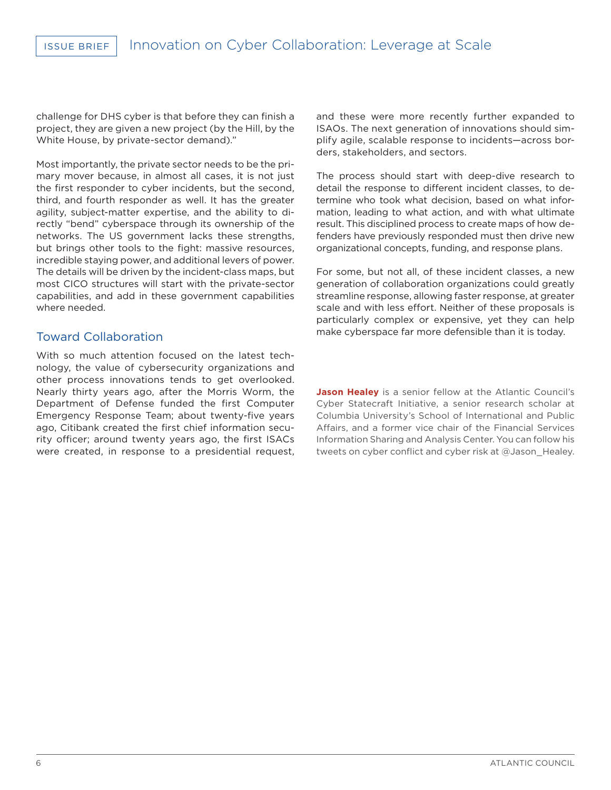challenge for DHS cyber is that before they can finish a project, they are given a new project (by the Hill, by the White House, by private-sector demand)."

Most importantly, the private sector needs to be the primary mover because, in almost all cases, it is not just the first responder to cyber incidents, but the second, third, and fourth responder as well. It has the greater agility, subject-matter expertise, and the ability to directly "bend" cyberspace through its ownership of the networks. The US government lacks these strengths, but brings other tools to the fight: massive resources, incredible staying power, and additional levers of power. The details will be driven by the incident-class maps, but most CICO structures will start with the private-sector capabilities, and add in these government capabilities where needed.

### Toward Collaboration

With so much attention focused on the latest technology, the value of cybersecurity organizations and other process innovations tends to get overlooked. Nearly thirty years ago, after the Morris Worm, the Department of Defense funded the first Computer Emergency Response Team; about twenty-five years ago, Citibank created the first chief information security officer; around twenty years ago, the first ISACs were created, in response to a presidential request, and these were more recently further expanded to ISAOs. The next generation of innovations should simplify agile, scalable response to incidents—across borders, stakeholders, and sectors.

The process should start with deep-dive research to detail the response to different incident classes, to determine who took what decision, based on what information, leading to what action, and with what ultimate result. This disciplined process to create maps of how defenders have previously responded must then drive new organizational concepts, funding, and response plans.

For some, but not all, of these incident classes, a new generation of collaboration organizations could greatly streamline response, allowing faster response, at greater scale and with less effort. Neither of these proposals is particularly complex or expensive, yet they can help make cyberspace far more defensible than it is today.

**Jason Healey** is a senior fellow at the Atlantic Council's Cyber Statecraft Initiative, a senior research scholar at Columbia University's School of International and Public Affairs, and a former vice chair of the Financial Services Information Sharing and Analysis Center. You can follow his tweets on cyber conflict and cyber risk at @Jason\_Healey.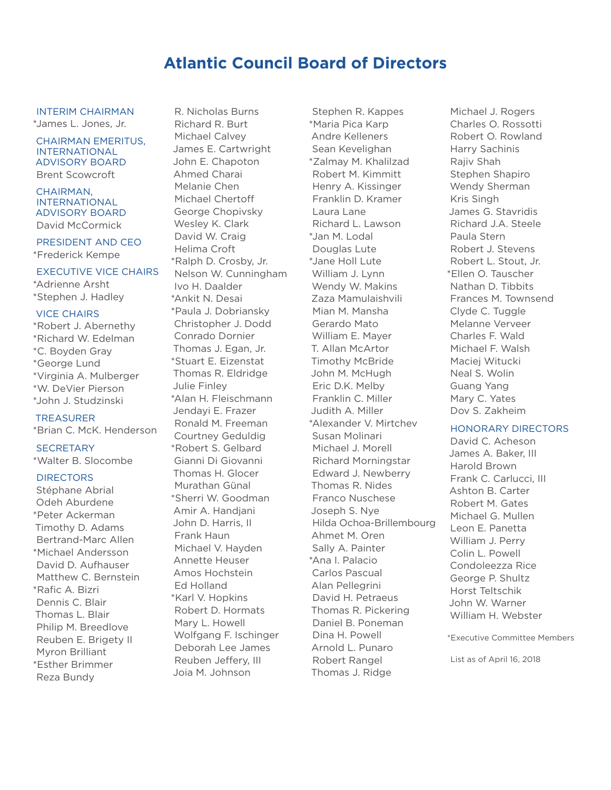# **Atlantic Council Board of Directors**

INTERIM CHAIRMAN \*James L. Jones, Jr.

#### CHAIRMAN EMERITUS, INTERNATIONAL ADVISORY BOARD Brent Scowcroft

CHAIRMAN, INTERNATIONAL ADVISORY BOARD David McCormick

PRESIDENT AND CEO \*Frederick Kempe

### EXECUTIVE VICE CHAIRS

\*Adrienne Arsht \*Stephen J. Hadley

### VICE CHAIRS

\*Robert J. Abernethy \*Richard W. Edelman \*C. Boyden Gray \*George Lund \*Virginia A. Mulberger \*W. DeVier Pierson \*John J. Studzinski

### TREASURER

\*Brian C. McK. Henderson

# **SECRETARY**

\*Walter B. Slocombe

### **DIRECTORS**

Stéphane Abrial Odeh Aburdene \*Peter Ackerman Timothy D. Adams Bertrand-Marc Allen \*Michael Andersson David D. Aufhauser Matthew C. Bernstein \*Rafic A. Bizri Dennis C. Blair Thomas L. Blair Philip M. Breedlove Reuben E. Brigety II Myron Brilliant \*Esther Brimmer Reza Bundy

R. Nicholas Burns Richard R. Burt Michael Calvey James E. Cartwright John E. Chapoton Ahmed Charai Melanie Chen Michael Chertoff George Chopivsky Wesley K. Clark David W. Craig Helima Croft \*Ralph D. Crosby, Jr. Nelson W. Cunningham Ivo H. Daalder \*Ankit N. Desai \*Paula J. Dobriansky Christopher J. Dodd Conrado Dornier Thomas J. Egan, Jr. \*Stuart E. Eizenstat Thomas R. Eldridge Julie Finley \*Alan H. Fleischmann Jendayi E. Frazer Ronald M. Freeman Courtney Geduldig \*Robert S. Gelbard Gianni Di Giovanni Thomas H. Glocer Murathan Günal \*Sherri W. Goodman Amir A. Handjani John D. Harris, II Frank Haun Michael V. Hayden Annette Heuser Amos Hochstein Ed Holland \*Karl V. Hopkins Robert D. Hormats Mary L. Howell Wolfgang F. Ischinger Deborah Lee James Reuben Jeffery, III Joia M. Johnson

Stephen R. Kappes \*Maria Pica Karp Andre Kelleners Sean Kevelighan \*Zalmay M. Khalilzad Robert M. Kimmitt Henry A. Kissinger Franklin D. Kramer Laura Lane Richard L. Lawson \*Jan M. Lodal Douglas Lute \*Jane Holl Lute William J. Lynn Wendy W. Makins Zaza Mamulaishvili Mian M. Mansha Gerardo Mato William E. Mayer T. Allan McArtor Timothy McBride John M. McHugh Eric D.K. Melby Franklin C. Miller Judith A. Miller \*Alexander V. Mirtchev Susan Molinari Michael J. Morell Richard Morningstar Edward J. Newberry Thomas R. Nides Franco Nuschese Joseph S. Nye Hilda Ochoa-Brillembourg Ahmet M. Oren Sally A. Painter \*Ana I. Palacio Carlos Pascual Alan Pellegrini David H. Petraeus Thomas R. Pickering Daniel B. Poneman Dina H. Powell Arnold L. Punaro Robert Rangel Thomas J. Ridge

Michael J. Rogers Charles O. Rossotti Robert O. Rowland Harry Sachinis Rajiv Shah Stephen Shapiro Wendy Sherman Kris Singh James G. Stavridis Richard J.A. Steele Paula Stern Robert J. Stevens Robert L. Stout, Jr. \*Ellen O. Tauscher Nathan D. Tibbits Frances M. Townsend Clyde C. Tuggle Melanne Verveer Charles F. Wald Michael F. Walsh Maciej Witucki Neal S. Wolin Guang Yang Mary C. Yates Dov S. Zakheim

### HONORARY DIRECTORS

David C. Acheson James A. Baker, III Harold Brown Frank C. Carlucci, III Ashton B. Carter Robert M. Gates Michael G. Mullen Leon E. Panetta William J. Perry Colin L. Powell Condoleezza Rice George P. Shultz Horst Teltschik John W. Warner William H. Webster

\*Executive Committee Members

List as of April 16, 2018